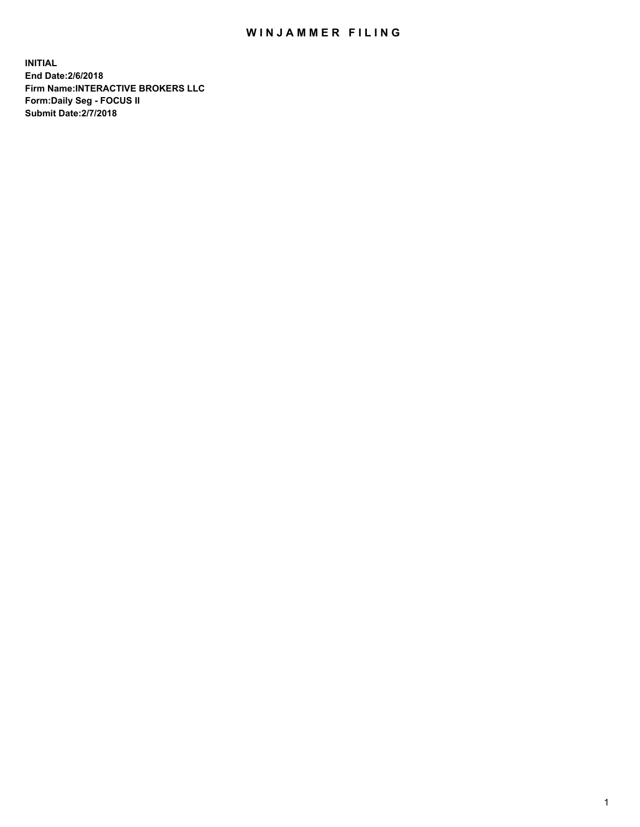## WIN JAMMER FILING

**INITIAL End Date:2/6/2018 Firm Name:INTERACTIVE BROKERS LLC Form:Daily Seg - FOCUS II Submit Date:2/7/2018**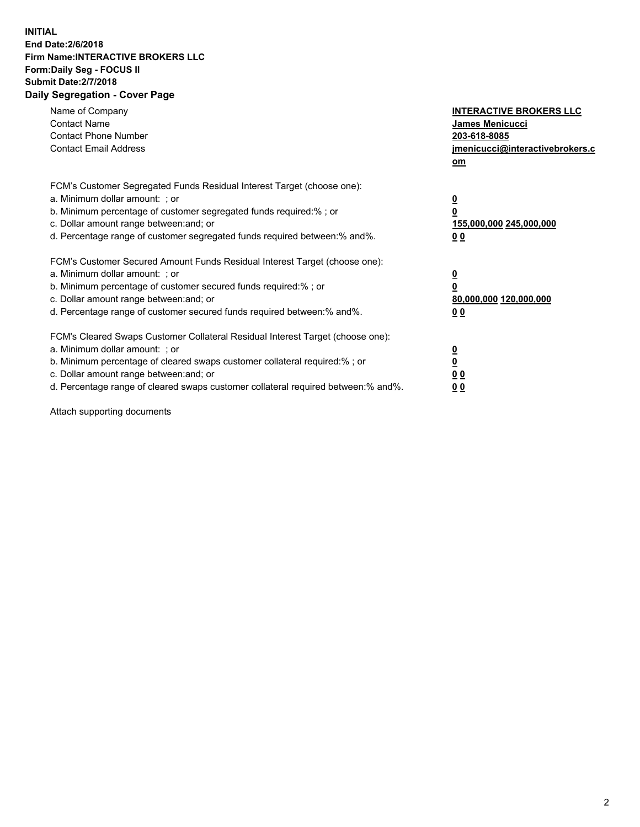## **INITIAL End Date:2/6/2018 Firm Name:INTERACTIVE BROKERS LLC Form:Daily Seg - FOCUS II Submit Date:2/7/2018 Daily Segregation - Cover Page**

| Name of Company<br><b>Contact Name</b><br><b>Contact Phone Number</b><br><b>Contact Email Address</b>                                                                                                                                                                                                                          | <b>INTERACTIVE BROKERS LLC</b><br>James Menicucci<br>203-618-8085<br>jmenicucci@interactivebrokers.c<br>om |
|--------------------------------------------------------------------------------------------------------------------------------------------------------------------------------------------------------------------------------------------------------------------------------------------------------------------------------|------------------------------------------------------------------------------------------------------------|
| FCM's Customer Segregated Funds Residual Interest Target (choose one):<br>a. Minimum dollar amount: ; or<br>b. Minimum percentage of customer segregated funds required:%; or<br>c. Dollar amount range between: and; or<br>d. Percentage range of customer segregated funds required between:% and%.                          | $\overline{\mathbf{0}}$<br>$\overline{\mathbf{0}}$<br>155,000,000 245,000,000<br>0 <sub>0</sub>            |
| FCM's Customer Secured Amount Funds Residual Interest Target (choose one):<br>a. Minimum dollar amount: ; or<br>b. Minimum percentage of customer secured funds required:%; or<br>c. Dollar amount range between: and; or<br>d. Percentage range of customer secured funds required between: % and %.                          | $\overline{\mathbf{0}}$<br>$\overline{\mathbf{0}}$<br>80,000,000 120,000,000<br>0 <sub>0</sub>             |
| FCM's Cleared Swaps Customer Collateral Residual Interest Target (choose one):<br>a. Minimum dollar amount: ; or<br>b. Minimum percentage of cleared swaps customer collateral required:% ; or<br>c. Dollar amount range between: and; or<br>d. Percentage range of cleared swaps customer collateral required between:% and%. | $\overline{\mathbf{0}}$<br>$\underline{\mathbf{0}}$<br>0 <sub>0</sub><br>0 <sup>0</sup>                    |

Attach supporting documents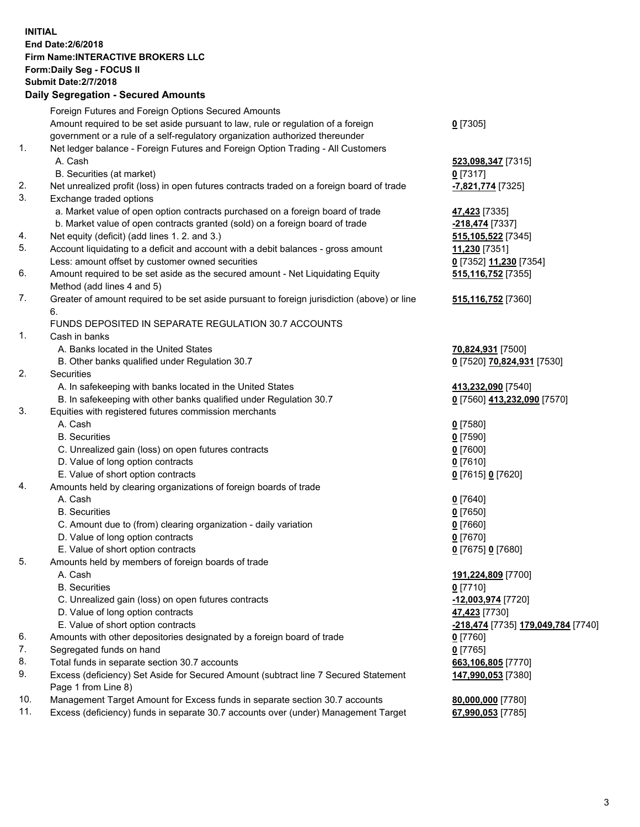## **INITIAL End Date:2/6/2018 Firm Name:INTERACTIVE BROKERS LLC Form:Daily Seg - FOCUS II Submit Date:2/7/2018 Daily Segregation - Secured Amounts**

|          | Foreign Futures and Foreign Options Secured Amounts                                                        |                                        |
|----------|------------------------------------------------------------------------------------------------------------|----------------------------------------|
|          | Amount required to be set aside pursuant to law, rule or regulation of a foreign                           | $0$ [7305]                             |
|          | government or a rule of a self-regulatory organization authorized thereunder                               |                                        |
| 1.       | Net ledger balance - Foreign Futures and Foreign Option Trading - All Customers                            |                                        |
|          | A. Cash                                                                                                    | 523,098,347 [7315]                     |
|          | B. Securities (at market)                                                                                  | $0$ [7317]                             |
| 2.       | Net unrealized profit (loss) in open futures contracts traded on a foreign board of trade                  | -7,821,774 [7325]                      |
| 3.       | Exchange traded options                                                                                    |                                        |
|          | a. Market value of open option contracts purchased on a foreign board of trade                             | 47,423 [7335]                          |
|          | b. Market value of open contracts granted (sold) on a foreign board of trade                               | -218,474 [7337]                        |
| 4.       | Net equity (deficit) (add lines 1.2. and 3.)                                                               | 515, 105, 522 [7345]                   |
| 5.       | Account liquidating to a deficit and account with a debit balances - gross amount                          | 11,230 [7351]                          |
|          | Less: amount offset by customer owned securities                                                           | 0 [7352] 11,230 [7354]                 |
| 6.       | Amount required to be set aside as the secured amount - Net Liquidating Equity                             | 515,116,752 [7355]                     |
|          | Method (add lines 4 and 5)                                                                                 |                                        |
| 7.       | Greater of amount required to be set aside pursuant to foreign jurisdiction (above) or line                | 515,116,752 [7360]                     |
|          | 6.                                                                                                         |                                        |
|          | FUNDS DEPOSITED IN SEPARATE REGULATION 30.7 ACCOUNTS                                                       |                                        |
| 1.       | Cash in banks                                                                                              |                                        |
|          | A. Banks located in the United States                                                                      | 70,824,931 [7500]                      |
|          | B. Other banks qualified under Regulation 30.7                                                             | 0 [7520] 70,824,931 [7530]             |
| 2.       | Securities                                                                                                 |                                        |
|          | A. In safekeeping with banks located in the United States                                                  | 413,232,090 [7540]                     |
|          | B. In safekeeping with other banks qualified under Regulation 30.7                                         | 0 [7560] 413,232,090 [7570]            |
| 3.       | Equities with registered futures commission merchants                                                      |                                        |
|          | A. Cash                                                                                                    | $0$ [7580]                             |
|          | <b>B.</b> Securities                                                                                       | $0$ [7590]                             |
|          | C. Unrealized gain (loss) on open futures contracts                                                        | $0$ [7600]                             |
|          | D. Value of long option contracts                                                                          | $0$ [7610]                             |
|          | E. Value of short option contracts                                                                         | 0 [7615] 0 [7620]                      |
| 4.       | Amounts held by clearing organizations of foreign boards of trade                                          |                                        |
|          | A. Cash                                                                                                    | $0$ [7640]                             |
|          | <b>B.</b> Securities                                                                                       | $0$ [7650]                             |
|          | C. Amount due to (from) clearing organization - daily variation                                            | $0$ [7660]                             |
|          | D. Value of long option contracts                                                                          | $0$ [7670]                             |
|          | E. Value of short option contracts                                                                         | 0 [7675] 0 [7680]                      |
| 5.       | Amounts held by members of foreign boards of trade                                                         |                                        |
|          | A. Cash                                                                                                    | 191,224,809 [7700]                     |
|          | <b>B.</b> Securities                                                                                       | $0$ [7710]                             |
|          | C. Unrealized gain (loss) on open futures contracts                                                        | -12,003,974 [7720]                     |
|          | D. Value of long option contracts                                                                          | 47,423 [7730]                          |
|          | E. Value of short option contracts                                                                         | -218,474 [7735] 179,049,784 [7740]     |
| 6.<br>7. | Amounts with other depositories designated by a foreign board of trade                                     | $0$ [7760]                             |
|          | Segregated funds on hand                                                                                   | $0$ [7765]                             |
| 8.<br>9. | Total funds in separate section 30.7 accounts                                                              | 663,106,805 [7770]                     |
|          | Excess (deficiency) Set Aside for Secured Amount (subtract line 7 Secured Statement<br>Page 1 from Line 8) | 147,990,053 [7380]                     |
| 10.      | Management Target Amount for Excess funds in separate section 30.7 accounts                                |                                        |
| 11.      | Excess (deficiency) funds in separate 30.7 accounts over (under) Management Target                         | 80,000,000 [7780]<br>67,990,053 [7785] |
|          |                                                                                                            |                                        |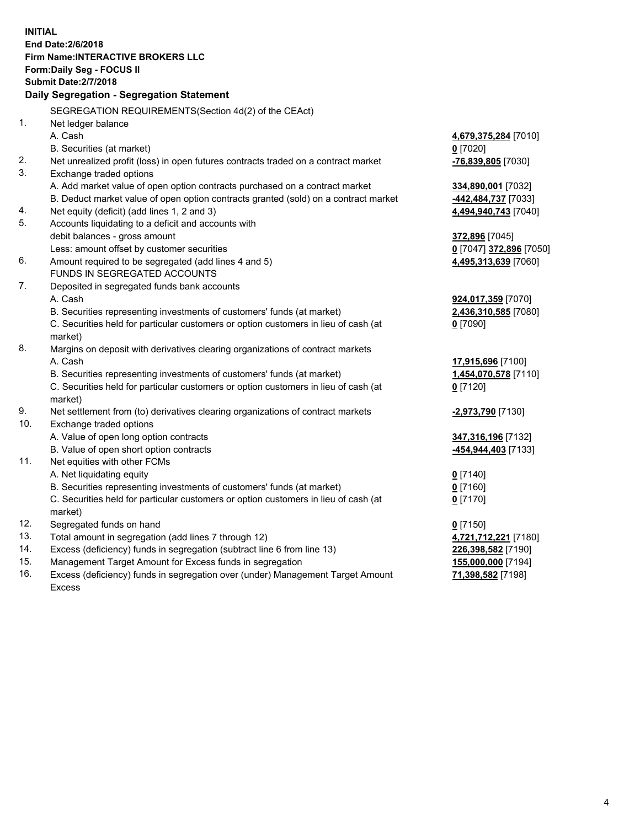**INITIAL End Date:2/6/2018 Firm Name:INTERACTIVE BROKERS LLC Form:Daily Seg - FOCUS II Submit Date:2/7/2018 Daily Segregation - Segregation Statement** SEGREGATION REQUIREMENTS(Section 4d(2) of the CEAct) 1. Net ledger balance A. Cash **4,679,375,284** [7010] B. Securities (at market) **0** [7020] 2. Net unrealized profit (loss) in open futures contracts traded on a contract market **-76,839,805** [7030] 3. Exchange traded options A. Add market value of open option contracts purchased on a contract market **334,890,001** [7032] B. Deduct market value of open option contracts granted (sold) on a contract market **-442,484,737** [7033] 4. Net equity (deficit) (add lines 1, 2 and 3) **4,494,940,743** [7040] 5. Accounts liquidating to a deficit and accounts with debit balances - gross amount **372,896** [7045] Less: amount offset by customer securities **0** [7047] **372,896** [7050] 6. Amount required to be segregated (add lines 4 and 5) **4,495,313,639** [7060] FUNDS IN SEGREGATED ACCOUNTS 7. Deposited in segregated funds bank accounts A. Cash **924,017,359** [7070] B. Securities representing investments of customers' funds (at market) **2,436,310,585** [7080] C. Securities held for particular customers or option customers in lieu of cash (at market) **0** [7090] 8. Margins on deposit with derivatives clearing organizations of contract markets A. Cash **17,915,696** [7100] B. Securities representing investments of customers' funds (at market) **1,454,070,578** [7110] C. Securities held for particular customers or option customers in lieu of cash (at market) **0** [7120] 9. Net settlement from (to) derivatives clearing organizations of contract markets **-2,973,790** [7130] 10. Exchange traded options A. Value of open long option contracts **347,316,196** [7132] B. Value of open short option contracts **-454,944,403** [7133] 11. Net equities with other FCMs A. Net liquidating equity **0** [7140] B. Securities representing investments of customers' funds (at market) **0** [7160] C. Securities held for particular customers or option customers in lieu of cash (at market) **0** [7170] 12. Segregated funds on hand **0** [7150] 13. Total amount in segregation (add lines 7 through 12) **4,721,712,221** [7180] 14. Excess (deficiency) funds in segregation (subtract line 6 from line 13) **226,398,582** [7190] 15. Management Target Amount for Excess funds in segregation **155,000,000** [7194] **71,398,582** [7198]

16. Excess (deficiency) funds in segregation over (under) Management Target Amount Excess